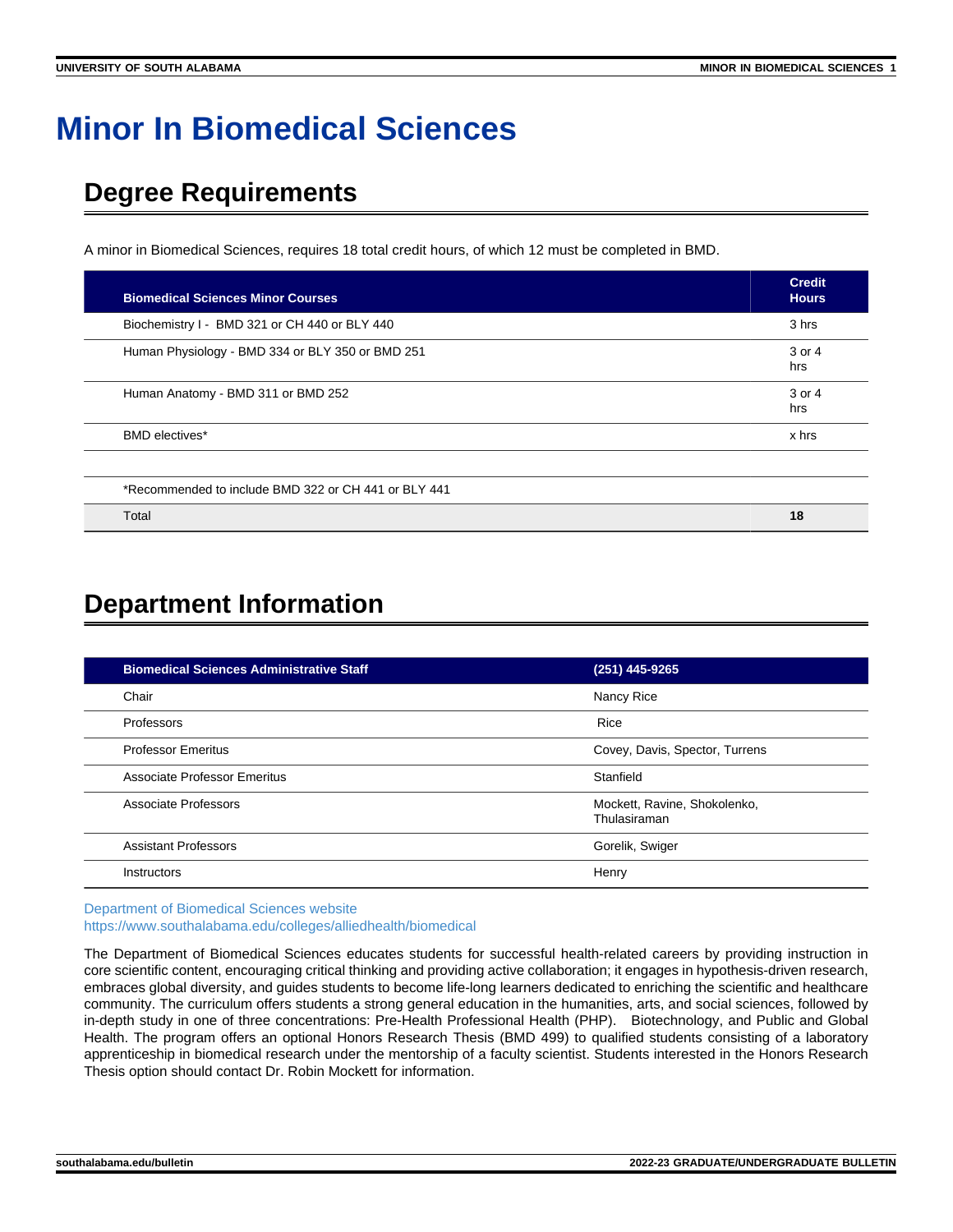# **Minor In Biomedical Sciences**

# **Degree Requirements**

A minor in Biomedical Sciences, requires 18 total credit hours, of which 12 must be completed in BMD.

| <b>Biomedical Sciences Minor Courses</b>             | <b>Credit</b><br><b>Hours</b> |
|------------------------------------------------------|-------------------------------|
| Biochemistry I - BMD 321 or CH 440 or BLY 440        | 3 hrs                         |
| Human Physiology - BMD 334 or BLY 350 or BMD 251     | 3 or 4<br>hrs                 |
| Human Anatomy - BMD 311 or BMD 252                   | 3 or 4<br>hrs                 |
| <b>BMD</b> electives*                                | x hrs                         |
| *Recommended to include BMD 322 or CH 441 or BLY 441 |                               |
| Total                                                | 18                            |

# **Department Information**

| <b>Biomedical Sciences Administrative Staff</b> | (251) 445-9265                               |
|-------------------------------------------------|----------------------------------------------|
| Chair                                           | Nancy Rice                                   |
| Professors                                      | Rice                                         |
| <b>Professor Emeritus</b>                       | Covey, Davis, Spector, Turrens               |
| Associate Professor Emeritus                    | Stanfield                                    |
| Associate Professors                            | Mockett, Ravine, Shokolenko,<br>Thulasiraman |
| <b>Assistant Professors</b>                     | Gorelik, Swiger                              |
| Instructors                                     | Henry                                        |

[Department of Biomedical Sciences website](https://www.southalabama.edu/colleges/alliedhealth/biomedical) <https://www.southalabama.edu/colleges/alliedhealth/biomedical>

The Department of Biomedical Sciences educates students for successful health-related careers by providing instruction in core scientific content, encouraging critical thinking and providing active collaboration; it engages in hypothesis-driven research, embraces global diversity, and guides students to become life-long learners dedicated to enriching the scientific and healthcare community. The curriculum offers students a strong general education in the humanities, arts, and social sciences, followed by in-depth study in one of three concentrations: Pre-Health Professional Health (PHP). Biotechnology, and Public and Global Health. The program offers an optional Honors Research Thesis (BMD 499) to qualified students consisting of a laboratory apprenticeship in biomedical research under the mentorship of a faculty scientist. Students interested in the Honors Research Thesis option should contact Dr. Robin Mockett for information.